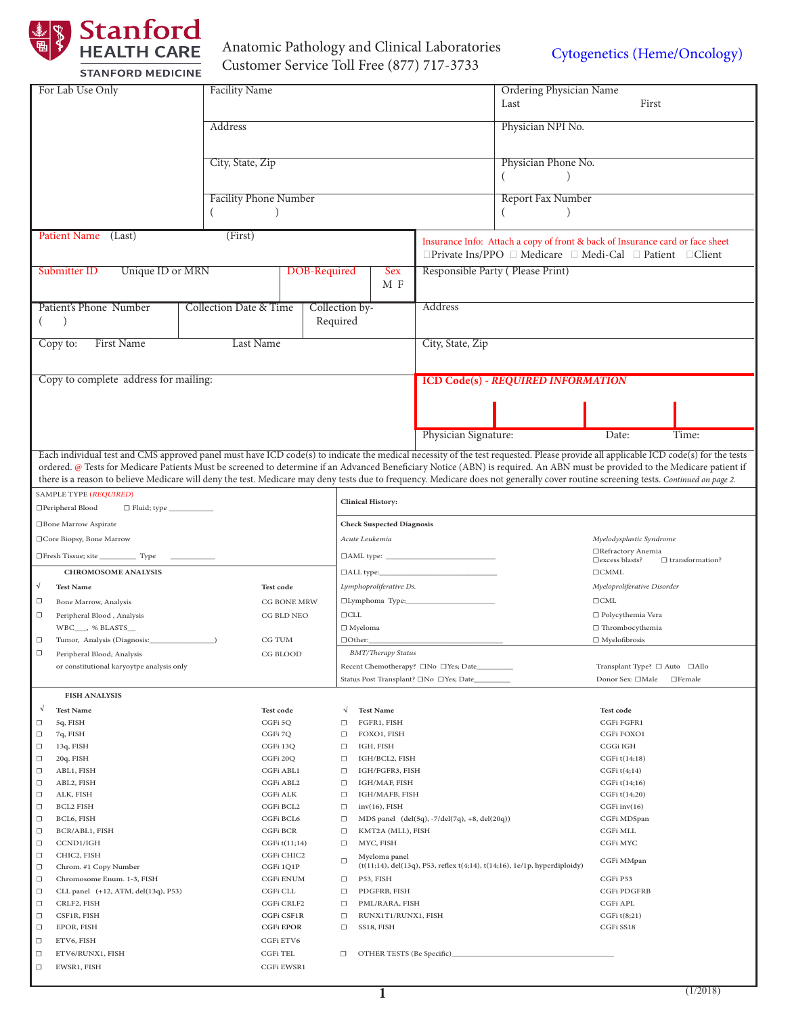

# Anatomic Pathology and Clinical Laboratories Anatomic Pathology and Clinical Laboratories<br> [Cytogenetics \(Heme/Oncology\)](http://stanfordlab.com/esoteric/Cytogenetics-FISH.html)<br>
Cytogenetics (Heme/Oncology)

| For Lab Use Only                                                                      | <b>Facility Name</b>              |                                              | Ordering Physician Name                                                   |                                                                                                                                                                                     |  |
|---------------------------------------------------------------------------------------|-----------------------------------|----------------------------------------------|---------------------------------------------------------------------------|-------------------------------------------------------------------------------------------------------------------------------------------------------------------------------------|--|
|                                                                                       |                                   |                                              | Last                                                                      | First                                                                                                                                                                               |  |
|                                                                                       |                                   |                                              |                                                                           |                                                                                                                                                                                     |  |
|                                                                                       | Address                           |                                              | Physician NPI No.                                                         |                                                                                                                                                                                     |  |
|                                                                                       |                                   |                                              |                                                                           |                                                                                                                                                                                     |  |
|                                                                                       | City, State, Zip                  |                                              | Physician Phone No.                                                       |                                                                                                                                                                                     |  |
|                                                                                       |                                   |                                              |                                                                           |                                                                                                                                                                                     |  |
|                                                                                       |                                   |                                              |                                                                           |                                                                                                                                                                                     |  |
|                                                                                       | <b>Facility Phone Number</b>      |                                              | Report Fax Number                                                         |                                                                                                                                                                                     |  |
|                                                                                       |                                   |                                              |                                                                           |                                                                                                                                                                                     |  |
| Patient Name (Last)                                                                   | (First)                           |                                              |                                                                           |                                                                                                                                                                                     |  |
|                                                                                       |                                   |                                              |                                                                           | Insurance Info: Attach a copy of front & back of Insurance card or face sheet                                                                                                       |  |
|                                                                                       |                                   |                                              | □Private Ins/PPO □ Medicare □ Medi-Cal □ Patient □ Client                 |                                                                                                                                                                                     |  |
| Unique ID or MRN<br>DOB-Required<br>Submitter ID                                      |                                   | <b>Sex</b>                                   | Responsible Party (Please Print)                                          |                                                                                                                                                                                     |  |
|                                                                                       |                                   | M F                                          |                                                                           |                                                                                                                                                                                     |  |
| Patient's Phone Number                                                                | <b>Collection Date &amp; Time</b> | Collection by-                               | Address                                                                   |                                                                                                                                                                                     |  |
| $\rightarrow$                                                                         |                                   | Required                                     |                                                                           |                                                                                                                                                                                     |  |
|                                                                                       |                                   |                                              |                                                                           |                                                                                                                                                                                     |  |
| First Name<br>Copy to:                                                                | Last Name                         |                                              | City, State, Zip                                                          |                                                                                                                                                                                     |  |
|                                                                                       |                                   |                                              |                                                                           |                                                                                                                                                                                     |  |
| Copy to complete address for mailing:                                                 |                                   |                                              | <b>ICD Code(s) - REQUIRED INFORMATION</b>                                 |                                                                                                                                                                                     |  |
|                                                                                       |                                   |                                              |                                                                           |                                                                                                                                                                                     |  |
|                                                                                       |                                   |                                              |                                                                           |                                                                                                                                                                                     |  |
|                                                                                       |                                   |                                              |                                                                           |                                                                                                                                                                                     |  |
|                                                                                       |                                   |                                              | Physician Signature:                                                      | Date:<br>Time:                                                                                                                                                                      |  |
|                                                                                       |                                   |                                              |                                                                           | Each individual test and CMS approved panel must have ICD code(s) to indicate the medical necessity of the test requested. Please provide all applicable ICD code(s) for the tests  |  |
|                                                                                       |                                   |                                              |                                                                           | ordered. @ Tests for Medicare Patients Must be screened to determine if an Advanced Beneficiary Notice (ABN) is required. An ABN must be provided to the Medicare patient if        |  |
|                                                                                       |                                   |                                              |                                                                           | there is a reason to believe Medicare will deny the test. Medicare may deny tests due to frequency. Medicare does not generally cover routine screening tests. Continued on page 2. |  |
| SAMPLE TYPE (REQUIRED)                                                                |                                   |                                              |                                                                           |                                                                                                                                                                                     |  |
| □Peripheral Blood<br>□ Fluid; type ____________                                       |                                   |                                              | <b>Clinical History:</b>                                                  |                                                                                                                                                                                     |  |
| □Bone Marrow Aspirate                                                                 |                                   |                                              | <b>Check Suspected Diagnosis</b>                                          |                                                                                                                                                                                     |  |
| □Core Biopsy, Bone Marrow                                                             |                                   | Acute Leukemia                               | Myelodysplastic Syndrome                                                  |                                                                                                                                                                                     |  |
| □Fresh Tissue; site _____________ Type                                                |                                   |                                              | □Refractory Anemia                                                        |                                                                                                                                                                                     |  |
| <b>CHROMOSOME ANALYSIS</b>                                                            |                                   | $\Box$ ALL type:                             |                                                                           | □ excess blasts?<br>$\Box$ transformation?<br>$\Box\mathit{CMML}$                                                                                                                   |  |
| √<br><b>Test Name</b>                                                                 | <b>Test code</b>                  | Lymphoproliferative Ds.                      |                                                                           | Myeloproliferative Disorder                                                                                                                                                         |  |
| □<br>Bone Marrow, Analysis                                                            | CG BONE MRW                       | □Lymphoma Type:                              |                                                                           | $\Box\mathit{CML}$                                                                                                                                                                  |  |
| Peripheral Blood, Analysis<br>□                                                       | CG BLD NEO                        | $\Box$ CLL                                   |                                                                           | □ Polycythemia Vera                                                                                                                                                                 |  |
| WBC___, % BLASTS__                                                                    |                                   | $\Box$ Myeloma                               |                                                                           | $\Box$ Thrombocythemia                                                                                                                                                              |  |
| Tumor, Analysis (Diagnosis:                                                           | CG TUM                            | □Other:                                      |                                                                           | $\Box$ Myelofibrosis                                                                                                                                                                |  |
| $\Box$<br>Peripheral Blood, Analysis                                                  | CG BLOOD                          | <b>BMT/Therapy Status</b>                    |                                                                           |                                                                                                                                                                                     |  |
| or constitutional karyoytpe analysis only                                             |                                   |                                              | Recent Chemotherapy? □No □Yes; Date___                                    | Transplant Type? □ Auto □ Allo                                                                                                                                                      |  |
|                                                                                       |                                   | Status Post Transplant? □No □Yes; Date_      |                                                                           | Donor Sex: □Male<br>$\Box$ Female                                                                                                                                                   |  |
| <b>FISH ANALYSIS</b>                                                                  |                                   |                                              |                                                                           |                                                                                                                                                                                     |  |
| V<br><b>Test Name</b>                                                                 | <b>Test code</b>                  | √<br><b>Test Name</b>                        |                                                                           | <b>Test code</b>                                                                                                                                                                    |  |
| 5q, FISH<br>$\Box$                                                                    | CGFi 5Q                           | FGFR1, FISH<br>$\Box$                        |                                                                           | CGFi FGFR1                                                                                                                                                                          |  |
| □<br>7q, FISH<br>13q, FISH<br>$\Box$                                                  | CGFi 7Q<br>CGFi 13Q               | $\Box$<br>FOXO1, FISH<br>IGH, FISH<br>$\Box$ |                                                                           | CGFi FOXO1<br>CGGi IGH                                                                                                                                                              |  |
| 20q, FISH<br>$\Box$                                                                   | CGFi 20Q                          | IGH/BCL2, FISH<br>$\Box$                     |                                                                           | CGFi t(14;18)                                                                                                                                                                       |  |
| ABL1, FISH<br>$\Box$                                                                  | CGFi ABL1                         | $\Box$<br>IGH/FGFR3, FISH                    |                                                                           | CGFi t(4;14)                                                                                                                                                                        |  |
| ABL2, FISH<br>□                                                                       | CGFi ABL2                         | IGH/MAF, FISH<br>$\Box$                      |                                                                           | CGFi t(14;16)                                                                                                                                                                       |  |
| □<br>ALK, FISH                                                                        | CGFi ALK                          | IGH/MAFB, FISH<br>$\Box$                     |                                                                           | CGFi t(14;20)                                                                                                                                                                       |  |
| <b>BCL2 FISH</b><br>□<br>□<br>BCL6, FISH                                              | CGFi BCL2<br>CGFi BCL6            | $inv(16)$ , FISH<br>$\Box$<br>$\Box$         | MDS panel (del(5q), -7/del(7q), +8, del(20q))                             | CGFi inv(16)<br>CGFi MDSpan                                                                                                                                                         |  |
| BCR/ABL1, FISH<br>$\Box$                                                              | CGFi BCR                          | KMT2A (MLL), FISH<br>$\Box$                  |                                                                           | CGFi MLL                                                                                                                                                                            |  |
| CCND1/IGH<br>□                                                                        | CGFi t(11;14)                     | MYC, FISH<br>$\Box$                          |                                                                           | CGFi MYC                                                                                                                                                                            |  |
| □<br>CHIC2, FISH                                                                      | CGFi CHIC2                        | Myeloma panel<br>$\Box$                      |                                                                           | CGFi MMpan                                                                                                                                                                          |  |
| $\Box$<br>Chrom. #1 Copy Number                                                       | CGFi 1Q1P                         |                                              | (t(11;14), del(13q), P53, reflex t(4;14), t(14;16), 1e/1p, hyperdiploidy) |                                                                                                                                                                                     |  |
| $\Box$<br>Chromosome Enum. 1-3, FISH<br>$\Box$<br>CLL panel (+12, ATM, del(13q), P53) | <b>CGFi ENUM</b><br>CGFi CLL      | P53, FISH<br>$\Box$<br>PDGFRB, FISH          |                                                                           | CGFi P53<br>CGFi PDGFRB                                                                                                                                                             |  |
| CRLF2, FISH<br>□                                                                      | CGFi CRLF2                        | $\Box$<br>PML/RARA, FISH<br>$\Box$           |                                                                           | CGFi APL                                                                                                                                                                            |  |
| □<br>CSF1R, FISH                                                                      | CGFi CSF1R                        | RUNX1T1/RUNX1, FISH<br>$\Box$                |                                                                           | $CGFi$ t $(8;21)$                                                                                                                                                                   |  |
| EPOR, FISH<br>$\Box$                                                                  | CGFi EPOR                         | SS18, FISH<br>$\Box$                         |                                                                           | CGFi SS18                                                                                                                                                                           |  |
| $\Box$<br>ETV6, FISH                                                                  | CGFi ETV6                         |                                              |                                                                           |                                                                                                                                                                                     |  |
| $\Box$<br>ETV6/RUNX1, FISH                                                            | CGFi TEL                          | OTHER TESTS (Be Specific)_<br>□              |                                                                           |                                                                                                                                                                                     |  |
| $\Box$<br>EWSR1, FISH                                                                 | CGFi EWSR1                        |                                              |                                                                           |                                                                                                                                                                                     |  |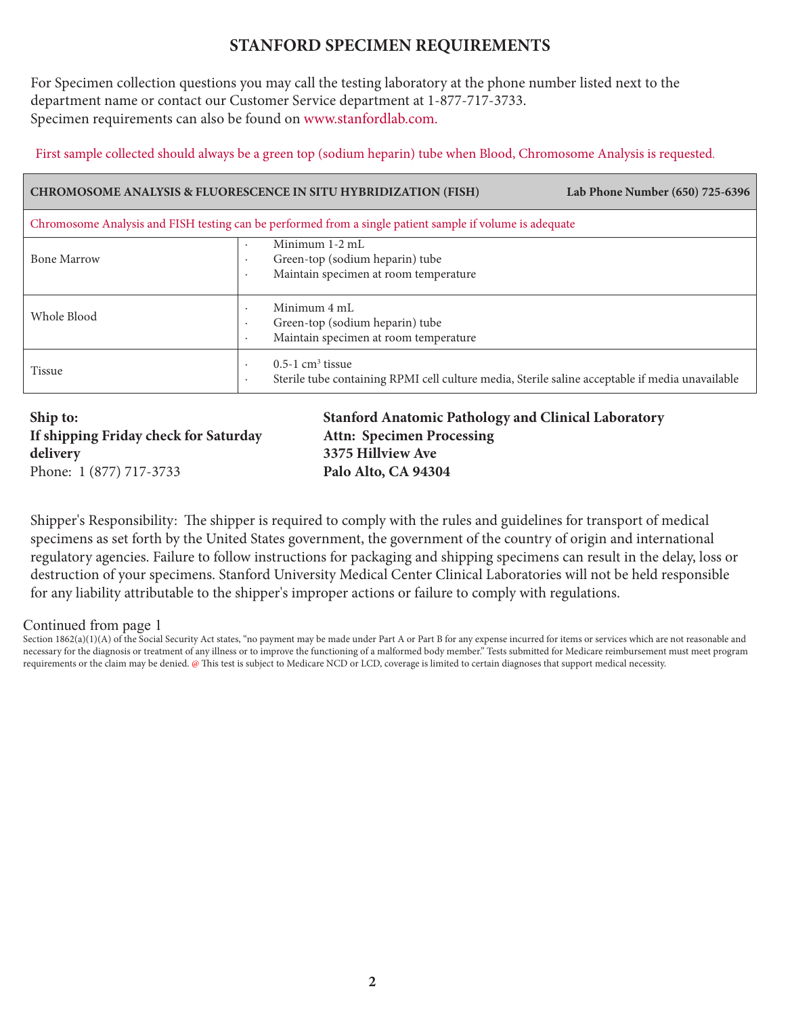### **STANFORD SPECIMEN REQUIREMENTS**

For Specimen collection questions you may call the testing laboratory at the phone number listed next to the department name or contact our Customer Service department at 1-877-717-3733. Specimen requirements can also be found on [www.stanfordlab.com.](http://www.stanfordlab.com/) 

First sample collected should always be a green top (sodium heparin) tube when Blood, Chromosome Analysis is requested.

| <b>CHROMOSOME ANALYSIS &amp; FLUORESCENCE IN SITU HYBRIDIZATION (FISH)</b><br>Lab Phone Number (650) 725-6396 |                                                                                                                                              |  |  |  |  |
|---------------------------------------------------------------------------------------------------------------|----------------------------------------------------------------------------------------------------------------------------------------------|--|--|--|--|
| Chromosome Analysis and FISH testing can be performed from a single patient sample if volume is adequate      |                                                                                                                                              |  |  |  |  |
| <b>Bone Marrow</b>                                                                                            | Minimum 1-2 mL<br>$\bullet$<br>Green-top (sodium heparin) tube<br>$\cdot$<br>Maintain specimen at room temperature<br>$\cdot$                |  |  |  |  |
| Whole Blood                                                                                                   | Minimum 4 mL<br>Green-top (sodium heparin) tube<br>Maintain specimen at room temperature                                                     |  |  |  |  |
| <b>Tissue</b>                                                                                                 | $0.5-1$ cm <sup>3</sup> tissue<br>$\cdot$<br>Sterile tube containing RPMI cell culture media, Sterile saline acceptable if media unavailable |  |  |  |  |

**Ship to: If shipping Friday check for Saturday delivery** Phone: 1 (877) 717-3733

**Stanford Anatomic Pathology and Clinical Laboratory Attn: Specimen Processing 3375 Hillview Ave Palo Alto, CA 94304**

Shipper's Responsibility: The shipper is required to comply with the rules and guidelines for transport of medical specimens as set forth by the United States government, the government of the country of origin and international regulatory agencies. Failure to follow instructions for packaging and shipping specimens can result in the delay, loss or destruction of your specimens. Stanford University Medical Center Clinical Laboratories will not be held responsible for any liability attributable to the shipper's improper actions or failure to comply with regulations.

Continued from page 1

Section 1862(a)(1)(A) of the Social Security Act states, "no payment may be made under Part A or Part B for any expense incurred for items or services which are not reasonable and necessary for the diagnosis or treatment of any illness or to improve the functioning of a malformed body member." Tests submitted for Medicare reimbursement must meet program requirements or the claim may be denied. @ This test is subject to Medicare NCD or LCD, coverage is limited to certain diagnoses that support medical necessity.